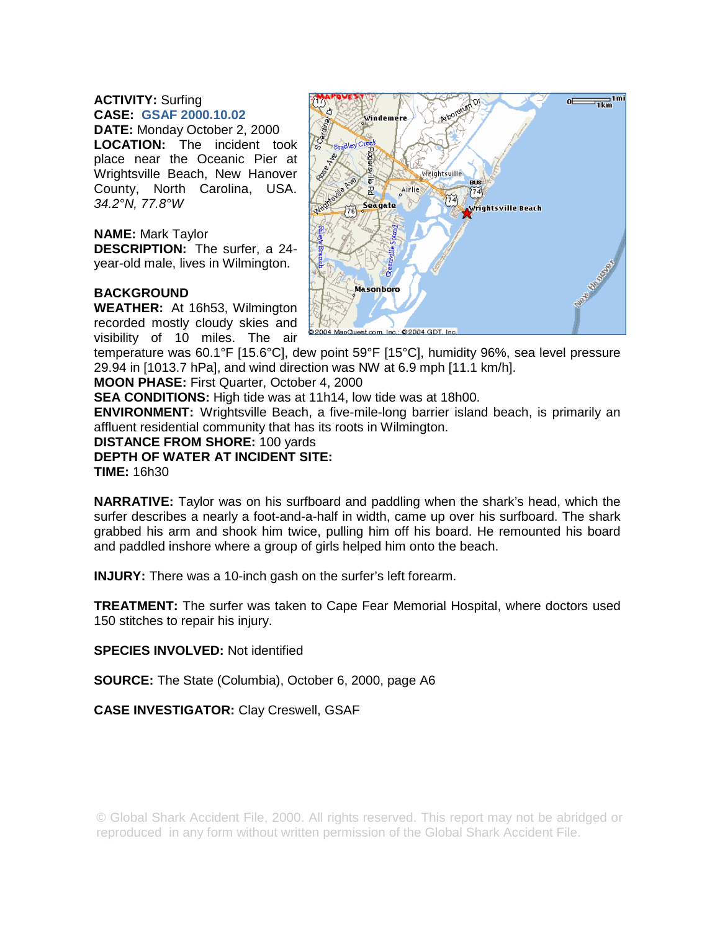## **ACTIVITY:** Surfing **CASE: GSAF 2000.10.02**

**DATE:** Monday October 2, 2000 **LOCATION:** The incident took place near the Oceanic Pier at Wrightsville Beach, New Hanover County, North Carolina, USA. *34.2°N, 77.8°W* 

## **NAME:** Mark Taylor

**DESCRIPTION:** The surfer, a 24 year-old male, lives in Wilmington.

## **BACKGROUND**

**WEATHER:** At 16h53, Wilmington recorded mostly cloudy skies and visibility of 10 miles. The air



temperature was 60.1°F [15.6°C], dew point 59°F [15°C], humidity 96%, sea level pressure 29.94 in [1013.7 hPa], and wind direction was NW at 6.9 mph [11.1 km/h].

**MOON PHASE:** First Quarter, October 4, 2000

**SEA CONDITIONS:** High tide was at 11h14, low tide was at 18h00.

**ENVIRONMENT:** Wrightsville Beach, a five-mile-long barrier island beach, is primarily an affluent residential community that has its roots in Wilmington.

**DISTANCE FROM SHORE:** 100 yards

**DEPTH OF WATER AT INCIDENT SITE: TIME:** 16h30

**NARRATIVE:** Taylor was on his surfboard and paddling when the shark's head, which the surfer describes a nearly a foot-and-a-half in width, came up over his surfboard. The shark grabbed his arm and shook him twice, pulling him off his board. He remounted his board and paddled inshore where a group of girls helped him onto the beach.

**INJURY:** There was a 10-inch gash on the surfer's left forearm.

**TREATMENT:** The surfer was taken to Cape Fear Memorial Hospital, where doctors used 150 stitches to repair his injury.

**SPECIES INVOLVED:** Not identified

**SOURCE:** The State (Columbia), October 6, 2000, page A6

**CASE INVESTIGATOR:** Clay Creswell, GSAF

© Global Shark Accident File, 2000. All rights reserved. This report may not be abridged or reproduced in any form without written permission of the Global Shark Accident File.